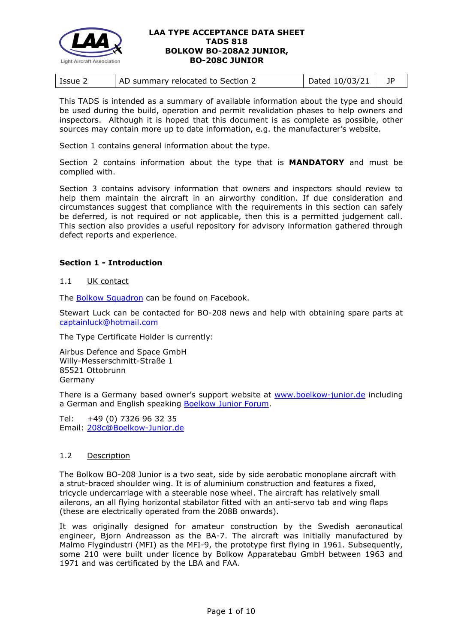

| Dated 10/03/21<br>AD summary relocated to Section 2<br>Issue 2 |
|----------------------------------------------------------------|
|----------------------------------------------------------------|

This TADS is intended as a summary of available information about the type and should be used during the build, operation and permit revalidation phases to help owners and inspectors. Although it is hoped that this document is as complete as possible, other sources may contain more up to date information, e.g. the manufacturer's website.

Section 1 contains general information about the type.

Section 2 contains information about the type that is **MANDATORY** and must be complied with.

Section 3 contains advisory information that owners and inspectors should review to help them maintain the aircraft in an airworthy condition. If due consideration and circumstances suggest that compliance with the requirements in this section can safely be deferred, is not required or not applicable, then this is a permitted judgement call. This section also provides a useful repository for advisory information gathered through defect reports and experience.

# **Section 1 - Introduction**

#### 1.1 UK contact

The [Bolkow Squadron](https://en-gb.facebook.com/Bolkow-Squadron-162008733831510/%20%20Bolkow) can be found on Facebook.

Stewart Luck can be contacted for BO-208 news and help with obtaining spare parts at [captainluck@hotmail.com](mailto:captainluck@hotmail.com)

The Type Certificate Holder is currently:

Airbus Defence and Space GmbH Willy-Messerschmitt-Straße 1 85521 Ottobrunn Germany

There is a Germany based owner's support website at [www.boelkow-junior.de](http://www.boelkow-junior.de/) including a German and English speaking [Boelkow Junior Forum.](http://www.boelkow-junior.de/forum/)

Tel: +49 (0) 7326 96 32 35 Email: [208c@Boelkow-Junior.de](mailto:208c@Boelkow-Junior.de)

# 1.2 Description

The Bolkow BO-208 Junior is a two seat, side by side aerobatic monoplane aircraft with a strut-braced shoulder wing. It is of aluminium construction and features a fixed, tricycle undercarriage with a steerable nose wheel. The aircraft has relatively small ailerons, an all flying horizontal stabilator fitted with an anti-servo tab and wing flaps (these are electrically operated from the 208B onwards).

It was originally designed for amateur construction by the Swedish aeronautical engineer, Bjorn Andreasson as the BA-7. The aircraft was initially manufactured by Malmo Flygindustri (MFI) as the MFI-9, the prototype first flying in 1961. Subsequently, some 210 were built under licence by Bolkow Apparatebau GmbH between 1963 and 1971 and was certificated by the LBA and FAA.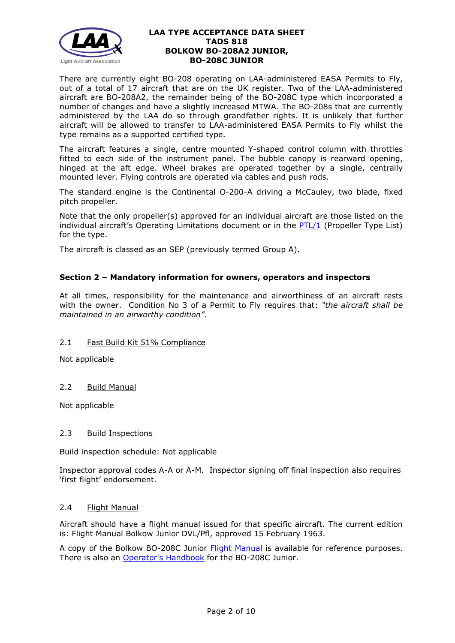

There are currently eight BO-208 operating on LAA-administered EASA Permits to Fly, out of a total of 17 aircraft that are on the UK register. Two of the LAA-administered aircraft are BO-208A2, the remainder being of the BO-208C type which incorporated a number of changes and have a slightly increased MTWA. The BO-208s that are currently administered by the LAA do so through grandfather rights. It is unlikely that further aircraft will be allowed to transfer to LAA-administered EASA Permits to Fly whilst the type remains as a supported certified type.

The aircraft features a single, centre mounted Y-shaped control column with throttles fitted to each side of the instrument panel. The bubble canopy is rearward opening, hinged at the aft edge. Wheel brakes are operated together by a single, centrally mounted lever. Flying controls are operated via cables and push rods.

The standard engine is the Continental O-200-A driving a McCauley, two blade, fixed pitch propeller.

Note that the only propeller(s) approved for an individual aircraft are those listed on the individual aircraft's Operating Limitations document or in the [PTL/1](http://www.lightaircraftassociation.co.uk/engineering/NewMods/PTL.html) (Propeller Type List) for the type.

The aircraft is classed as an SEP (previously termed Group A).

# **Section 2 – Mandatory information for owners, operators and inspectors**

At all times, responsibility for the maintenance and airworthiness of an aircraft rests with the owner. Condition No 3 of a Permit to Fly requires that: *"the aircraft shall be maintained in an airworthy condition".* 

# 2.1 Fast Build Kit 51% Compliance

Not applicable

# 2.2 Build Manual

Not applicable

# 2.3 Build Inspections

Build inspection schedule: Not applicable

Inspector approval codes A-A or A-M. Inspector signing off final inspection also requires 'first flight' endorsement.

# 2.4 Flight Manual

Aircraft should have a flight manual issued for that specific aircraft. The current edition is: Flight Manual Bolkow Junior DVL/Pfl, approved 15 February 1963.

A copy of the Bolkow BO-208C Junior [Flight Manual](http://www.lightaircraftassociation.co.uk/engineering/TADs/818/AIRPLANE-FLIGHT-MANUAL-BOELKOW-208-C-JUNIOR.pdf) is available for reference purposes. There is also an [Operator's Handbook](http://www.lightaircraftassociation.co.uk/engineering/TADs/818/OPERATORS-HANDBOOK-BOELKOW-208-C-JUNIOR.pdf) for the BO-208C Junior.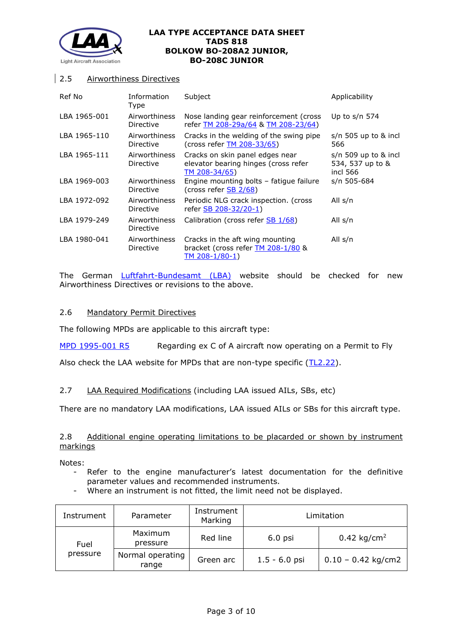

# 2.5 Airworthiness Directives

| Ref No       | Information<br>Type        | Subject                                                                                   | Applicability                                          |
|--------------|----------------------------|-------------------------------------------------------------------------------------------|--------------------------------------------------------|
| LBA 1965-001 | Airworthiness<br>Directive | Nose landing gear reinforcement (cross)<br>refer TM 208-29a/64 & TM 208-23/64)            | Up to $s/n$ 574                                        |
| LBA 1965-110 | Airworthiness<br>Directive | Cracks in the welding of the swing pipe<br>(cross refer <b>TM 208-33/65)</b>              | $s/n$ 505 up to & incl<br>566                          |
| LBA 1965-111 | Airworthiness<br>Directive | Cracks on skin panel edges near<br>elevator bearing hinges (cross refer<br>TM 208-34/65)  | $s/n$ 509 up to & incl<br>534, 537 up to &<br>incl 566 |
| LBA 1969-003 | Airworthiness<br>Directive | Engine mounting bolts - fatigue failure<br>(cross refer SB 2/68)                          | s/n 505-684                                            |
| LBA 1972-092 | Airworthiness<br>Directive | Periodic NLG crack inspection. (cross<br>refer SB 208-32/20-1)                            | All s/n                                                |
| LBA 1979-249 | Airworthiness<br>Directive | Calibration (cross refer SB 1/68)                                                         | All s/n                                                |
| LBA 1980-041 | Airworthiness<br>Directive | Cracks in the aft wing mounting<br>bracket (cross refer TM 208-1/80 &<br>$TM 208-1/80-1)$ | All s/n                                                |

The German *[Luftfahrt-Bundesamt \(LBA\)](https://www.lba.de/EN/DivisionT/Airworthiness/ADs/ADs.html?nn=2099090)* website should be checked for new Airworthiness Directives or revisions to the above.

# 2.6 Mandatory Permit Directives

The following MPDs are applicable to this aircraft type:

[MPD 1995-001 R5](http://www.lightaircraftassociation.co.uk/engineering/TADs/818/MPD%201995-001%20R5.pdf) Regarding ex C of A aircraft now operating on a Permit to Fly

Also check the LAA website for MPDs that are non-type specific [\(TL2.22\)](http://www.lightaircraftassociation.co.uk/engineering/TechnicalLeaflets/Operating%20An%20Aircraft/TL%202.22%20non-type%20specific%20MPDs.pdf).

# 2.7 LAA Required Modifications (including LAA issued AILs, SBs, etc)

There are no mandatory LAA modifications, LAA issued AILs or SBs for this aircraft type.

# 2.8 Additional engine operating limitations to be placarded or shown by instrument markings

Notes:

- Refer to the engine manufacturer's latest documentation for the definitive parameter values and recommended instruments.
- Where an instrument is not fitted, the limit need not be displayed.

| Instrument       | Parameter                 | Instrument<br>Marking | Limitation      |                        |
|------------------|---------------------------|-----------------------|-----------------|------------------------|
| Fuel<br>pressure | Maximum<br>pressure       | Red line              | $6.0$ psi       | $0.42 \text{ kg/cm}^2$ |
|                  | Normal operating<br>range | Green arc             | $1.5 - 6.0$ psi | $0.10 - 0.42$ kg/cm2   |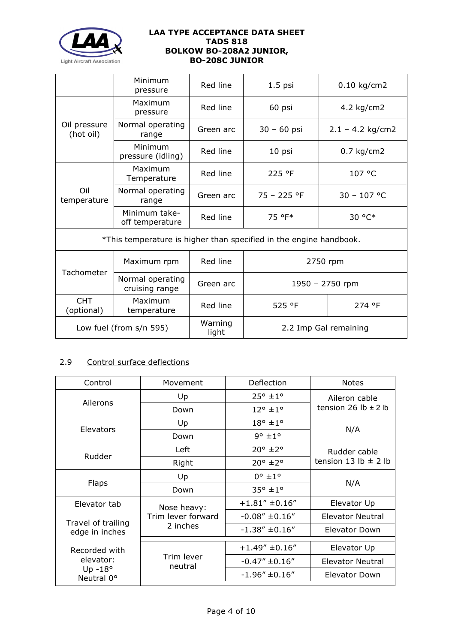

|                           | Minimum<br>pressure                | Red line         | $1.5$ psi                                                          | $0.10$ kg/cm2         |
|---------------------------|------------------------------------|------------------|--------------------------------------------------------------------|-----------------------|
|                           | Maximum<br>pressure                | Red line         | 60 psi                                                             | 4.2 kg/cm2            |
| Oil pressure<br>(hot oil) | Normal operating<br>range          | Green arc        | $30 - 60$ psi                                                      | $2.1 - 4.2$ kg/cm2    |
|                           | Minimum<br>pressure (idling)       | Red line         | 10 psi                                                             | $0.7$ kg/cm2          |
|                           | Maximum<br>Temperature             | Red line         | 225 °F                                                             | 107 °C                |
| Oil<br>temperature        | Normal operating<br>range          | Green arc        | $75 - 225$ °F                                                      | $30 - 107$ °C         |
|                           | Minimum take-<br>off temperature   | Red line         | 75 °F*                                                             | 30 °C*                |
|                           |                                    |                  | *This temperature is higher than specified in the engine handbook. |                       |
|                           | Maximum rpm                        | Red line         | 2750 rpm                                                           |                       |
| <b>Tachometer</b>         | Normal operating<br>cruising range | Green arc        | 1950 - 2750 rpm                                                    |                       |
| <b>CHT</b><br>(optional)  | Maximum<br>temperature             | Red line         | 525 °F                                                             | 274 °F                |
| Low fuel (from s/n 595)   |                                    | Warning<br>light |                                                                    | 2.2 Imp Gal remaining |

# 2.9 Control surface deflections

| Control                              | Movement              | Deflection                 | <b>Notes</b>             |
|--------------------------------------|-----------------------|----------------------------|--------------------------|
|                                      | Up                    | $25^{\circ}$ ±1°           | Aileron cable            |
| Ailerons                             | Down                  | $12^{\circ}$ ±1°           | tension 26 lb $\pm$ 2 lb |
|                                      | Up                    | $18^{\circ}$ ± $1^{\circ}$ |                          |
| Elevators                            | Down                  | $9^\circ \pm 1^\circ$      | N/A                      |
| Rudder                               | Left                  | $20^{\circ}$ ±2°           | Rudder cable             |
|                                      | Right                 | $20^{\circ}$ ±2°           | tension 13 lb $\pm$ 2 lb |
|                                      | Up                    | $0^{\circ}$ ± $1^{\circ}$  |                          |
| <b>Flaps</b>                         | Down                  | $35^{\circ}$ ±1°           | N/A                      |
| Elevator tab                         | Nose heavy:           | $+1.81''$ ±0.16"           | Elevator Up              |
|                                      | Trim lever forward    | $-0.08'' \pm 0.16''$       | <b>Elevator Neutral</b>  |
| Travel of trailing<br>edge in inches | 2 inches              | $-1.38'' + 0.16''$         | Elevator Down            |
| Recorded with                        |                       | $+1.49''$ ±0.16"           | Elevator Up              |
| elevator:                            | Trim lever<br>neutral | $-0.47'' \pm 0.16''$       | Elevator Neutral         |
| Up $-18^\circ$<br>Neutral 0°         |                       | $-1.96'' \pm 0.16''$       | Elevator Down            |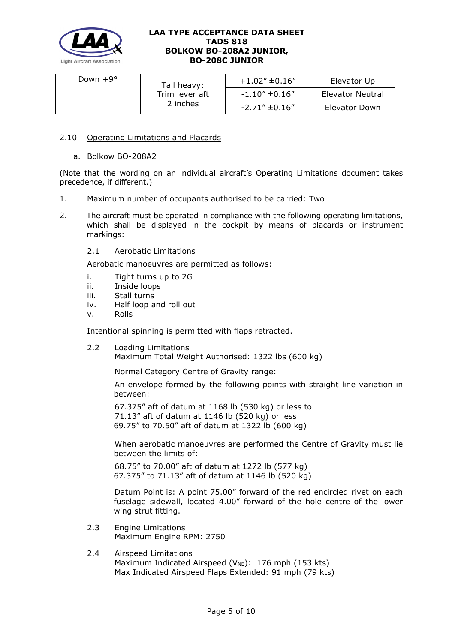

| Down $+9^{\circ}$ | Tail heavy:                | $+1.02"$ ±0.16"      | Elevator Up      |
|-------------------|----------------------------|----------------------|------------------|
|                   | Trim lever aft<br>2 inches | $-1.10'' \pm 0.16''$ | Elevator Neutral |
|                   |                            | $-2.71'' \pm 0.16''$ | Elevator Down    |

# 2.10 Operating Limitations and Placards

a. Bolkow BO-208A2

(Note that the wording on an individual aircraft's Operating Limitations document takes precedence, if different.)

- 1. Maximum number of occupants authorised to be carried: Two
- 2. The aircraft must be operated in compliance with the following operating limitations, which shall be displayed in the cockpit by means of placards or instrument markings:
	- 2.1 Aerobatic Limitations

Aerobatic manoeuvres are permitted as follows:

- i. Tight turns up to 2G
- ii. Inside loops
- iii. Stall turns
- iv. Half loop and roll out
- v. Rolls

Intentional spinning is permitted with flaps retracted.

2.2 Loading Limitations Maximum Total Weight Authorised: 1322 lbs (600 kg)

Normal Category Centre of Gravity range:

An envelope formed by the following points with straight line variation in between:

67.375" aft of datum at 1168 lb (530 kg) or less to 71.13" aft of datum at 1146 lb (520 kg) or less 69.75" to 70.50" aft of datum at 1322 lb (600 kg)

When aerobatic manoeuvres are performed the Centre of Gravity must lie between the limits of:

68.75" to 70.00" aft of datum at 1272 lb (577 kg) 67.375" to 71.13" aft of datum at 1146 lb (520 kg)

Datum Point is: A point 75.00" forward of the red encircled rivet on each fuselage sidewall, located 4.00" forward of the hole centre of the lower wing strut fitting.

- 2.3 Engine Limitations Maximum Engine RPM: 2750
- 2.4 Airspeed Limitations Maximum Indicated Airspeed ( $V_{NE}$ ): 176 mph (153 kts) Max Indicated Airspeed Flaps Extended: 91 mph (79 kts)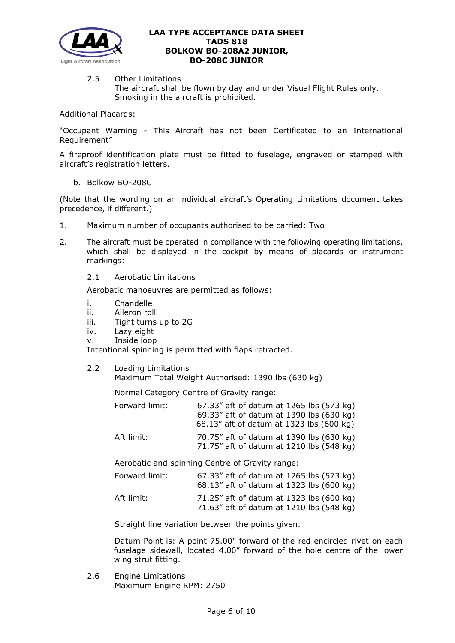

2.5 Other Limitations The aircraft shall be flown by day and under Visual Flight Rules only. Smoking in the aircraft is prohibited.

Additional Placards:

"Occupant Warning - This Aircraft has not been Certificated to an International Requirement"

A fireproof identification plate must be fitted to fuselage, engraved or stamped with aircraft's registration letters.

b. Bolkow BO-208C

(Note that the wording on an individual aircraft's Operating Limitations document takes precedence, if different.)

- 1. Maximum number of occupants authorised to be carried: Two
- 2. The aircraft must be operated in compliance with the following operating limitations, which shall be displayed in the cockpit by means of placards or instrument markings:
	- 2.1 Aerobatic Limitations

Aerobatic manoeuvres are permitted as follows:

- i. Chandelle
- ii. Aileron roll
- iii. Tight turns up to 2G
- iv. Lazy eight
- v. Inside loop

Intentional spinning is permitted with flaps retracted.

2.2 Loading Limitations

Maximum Total Weight Authorised: 1390 lbs (630 kg)

Normal Category Centre of Gravity range:

| Forward limit: | 67.33" aft of datum at 1265 lbs (573 kg)<br>69.33" aft of datum at 1390 lbs (630 kg) |
|----------------|--------------------------------------------------------------------------------------|
|                | 68.13" aft of datum at 1323 lbs (600 kg)                                             |
| Aft limit:     | 70.75" aft of datum at 1390 lbs (630 kg)<br>71.75" aft of datum at 1210 lbs (548 kg) |

Aerobatic and spinning Centre of Gravity range:

| Forward limit: | 67.33" aft of datum at 1265 lbs (573 kg)<br>68.13" aft of datum at 1323 lbs (600 kg) |  |
|----------------|--------------------------------------------------------------------------------------|--|
| Aft limit:     | 71.25" aft of datum at 1323 lbs (600 kg)<br>71.63" aft of datum at 1210 lbs (548 kg) |  |

Straight line variation between the points given.

Datum Point is: A point 75.00" forward of the red encircled rivet on each fuselage sidewall, located 4.00" forward of the hole centre of the lower wing strut fitting.

2.6 Engine Limitations Maximum Engine RPM: 2750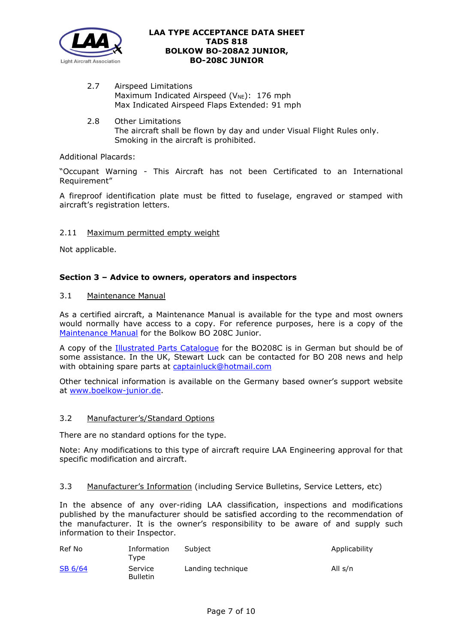

- 2.7 Airspeed Limitations Maximum Indicated Airspeed ( $V_{NE}$ ): 176 mph Max Indicated Airspeed Flaps Extended: 91 mph
- 2.8 Other Limitations The aircraft shall be flown by day and under Visual Flight Rules only. Smoking in the aircraft is prohibited.

# Additional Placards:

"Occupant Warning - This Aircraft has not been Certificated to an International Requirement"

A fireproof identification plate must be fitted to fuselage, engraved or stamped with aircraft's registration letters.

# 2.11 Maximum permitted empty weight

Not applicable.

# **Section 3 – Advice to owners, operators and inspectors**

# 3.1 Maintenance Manual

As a certified aircraft, a Maintenance Manual is available for the type and most owners would normally have access to a copy. For reference purposes, here is a copy of the [Maintenance Manual](http://www.lightaircraftassociation.co.uk/engineering/TADs/818/MAINTENANCE-MANUAL-BOELKOW-208-C-JUNIOR.pdf) for the Bolkow BO 208C Junior.

A copy of the **[Illustrated Parts Catalogue](http://www.lightaircraftassociation.co.uk/engineering/TADs/818/Bolkow%20BO%20208C%20IPC.pdf)** for the BO208C is in German but should be of some assistance. In the UK, Stewart Luck can be contacted for BO 208 news and help with obtaining spare parts at [captainluck@hotmail.com](mailto:captainluck@hotmail.com)

Other technical information is available on the Germany based owner's support website at [www.boelkow-junior.de.](http://www.boelkow-junior.de/)

# 3.2 Manufacturer's/Standard Options

There are no standard options for the type.

Note: Any modifications to this type of aircraft require LAA Engineering approval for that specific modification and aircraft.

# 3.3 Manufacturer's Information (including Service Bulletins, Service Letters, etc)

In the absence of any over-riding LAA classification, inspections and modifications published by the manufacturer should be satisfied according to the recommendation of the manufacturer. It is the owner's responsibility to be aware of and supply such information to their Inspector.

| Ref No  | Information<br>Tvpe        | Subject           | Applicability |
|---------|----------------------------|-------------------|---------------|
| SB 6/64 | Service<br><b>Bulletin</b> | Landing technique | All s/n       |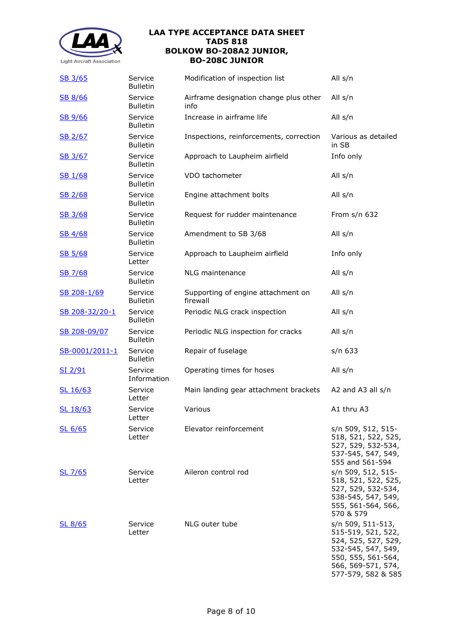

| SB 3/65            | Service<br><b>Bulletin</b> | Modification of inspection list                | All s/n                                                                                                                                                |
|--------------------|----------------------------|------------------------------------------------|--------------------------------------------------------------------------------------------------------------------------------------------------------|
| SB 8/66            | Service<br><b>Bulletin</b> | Airframe designation change plus other<br>info | All s/n                                                                                                                                                |
| SB 9/66            | Service<br><b>Bulletin</b> | Increase in airframe life                      | All s/n                                                                                                                                                |
| SB 2/67            | Service<br><b>Bulletin</b> | Inspections, reinforcements, correction        | Various as detailed<br>in SB                                                                                                                           |
| SB 3/67            | Service<br><b>Bulletin</b> | Approach to Laupheim airfield                  | Info only                                                                                                                                              |
| SB 1/68            | Service<br><b>Bulletin</b> | VDO tachometer                                 | All s/n                                                                                                                                                |
| SB 2/68            | Service<br><b>Bulletin</b> | Engine attachment bolts                        | All s/n                                                                                                                                                |
| SB 3/68            | Service<br><b>Bulletin</b> | Request for rudder maintenance                 | From $s/n$ 632                                                                                                                                         |
| SB 4/68            | Service<br><b>Bulletin</b> | Amendment to SB 3/68                           | All s/n                                                                                                                                                |
| <b>SB 5/68</b>     | Service<br>Letter          | Approach to Laupheim airfield                  | Info only                                                                                                                                              |
| SB 7/68            | Service<br><b>Bulletin</b> | NLG maintenance                                | All s/n                                                                                                                                                |
| SB 208-1/69        | Service<br><b>Bulletin</b> | Supporting of engine attachment on<br>firewall | All s/n                                                                                                                                                |
| SB 208-32/20-1     | Service<br><b>Bulletin</b> | Periodic NLG crack inspection                  | All s/n                                                                                                                                                |
| SB 208-09/07       | Service<br><b>Bulletin</b> | Periodic NLG inspection for cracks             | All s/n                                                                                                                                                |
| SB-0001/2011-1     | Service<br><b>Bulletin</b> | Repair of fuselage                             | s/n 633                                                                                                                                                |
| <u>SI 2/91</u>     | Service<br>Information     | Operating times for hoses                      | All s/n                                                                                                                                                |
| SL 16/63           | Service<br>Letter          | Main landing gear attachment brackets          | A2 and A3 all $s/n$                                                                                                                                    |
| <u>SL 18/63</u>    | Service<br>Letter          | Various                                        | A1 thru A3                                                                                                                                             |
| SL <sub>6/65</sub> | Service<br>Letter          | Elevator reinforcement                         | s/n 509, 512, 515-<br>518, 521, 522, 525,<br>527, 529, 532-534,<br>537-545, 547, 549,<br>555 and 561-594                                               |
| SL 7/65            | Service<br>Letter          | Aileron control rod                            | s/n 509, 512, 515-<br>518, 521, 522, 525,<br>527, 529, 532-534,<br>538-545, 547, 549,<br>555, 561-564, 566,<br>570 & 579                               |
| SL 8/65            | Service<br>Letter          | NLG outer tube                                 | s/n 509, 511-513,<br>515-519, 521, 522,<br>524, 525, 527, 529,<br>532-545, 547, 549,<br>550, 555, 561-564,<br>566, 569-571, 574,<br>577-579, 582 & 585 |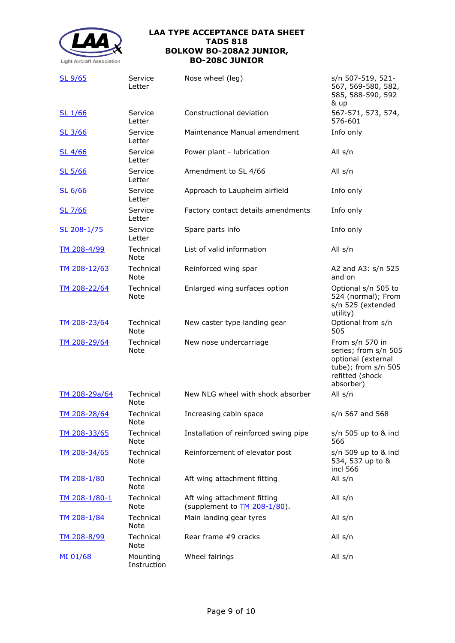

| <u>SL 9/65</u>       | Service<br>Letter        | Nose wheel (leg)                                            | s/n 507-519, 521-<br>567, 569-580, 582,<br>585, 588-590, 592<br>& up                                                 |
|----------------------|--------------------------|-------------------------------------------------------------|----------------------------------------------------------------------------------------------------------------------|
| SL 1/66              | Service<br>Letter        | Constructional deviation                                    | 567-571, 573, 574,<br>576-601                                                                                        |
| SL 3/66              | Service<br>Letter        | Maintenance Manual amendment                                | Info only                                                                                                            |
| SL 4/66              | Service<br>Letter        | Power plant - lubrication                                   | All s/n                                                                                                              |
| SL 5/66              | Service<br>Letter        | Amendment to SL 4/66                                        | All s/n                                                                                                              |
| SL 6/66              | Service<br>Letter        | Approach to Laupheim airfield                               | Info only                                                                                                            |
| SL 7/66              | Service<br>Letter        | Factory contact details amendments                          | Info only                                                                                                            |
| SL 208-1/75          | Service<br>Letter        | Spare parts info                                            | Info only                                                                                                            |
| TM 208-4/99          | Technical<br>Note        | List of valid information                                   | All s/n                                                                                                              |
| TM 208-12/63         | Technical<br>Note        | Reinforced wing spar                                        | A2 and A3: s/n 525<br>and on                                                                                         |
| TM 208-22/64         | Technical<br>Note        | Enlarged wing surfaces option                               | Optional s/n 505 to<br>524 (normal); From<br>s/n 525 (extended<br>utility)                                           |
| TM 208-23/64         | Technical<br>Note        | New caster type landing gear                                | Optional from s/n<br>505                                                                                             |
| TM 208-29/64         | Technical<br>Note        | New nose undercarriage                                      | From s/n 570 in<br>series; from s/n 505<br>optional (external<br>tube); from s/n 505<br>refitted (shock<br>absorber) |
| <u>TM 208-29a/64</u> | Technical<br>Note        | New NLG wheel with shock absorber                           | All s/n                                                                                                              |
| <u>TM 208-28/64</u>  | Technical<br>Note        | Increasing cabin space                                      | s/n 567 and 568                                                                                                      |
| <u>TM 208-33/65</u>  | Technical<br><b>Note</b> | Installation of reinforced swing pipe                       | $s/n$ 505 up to & incl<br>566                                                                                        |
| TM 208-34/65         | Technical<br><b>Note</b> | Reinforcement of elevator post                              | $s/n$ 509 up to & incl<br>534, 537 up to &<br>incl 566                                                               |
| <u>TM 208-1/80</u>   | Technical<br><b>Note</b> | Aft wing attachment fitting                                 | All s/n                                                                                                              |
| <u>TM 208-1/80-1</u> | Technical<br><b>Note</b> | Aft wing attachment fitting<br>(supplement to TM 208-1/80). | All s/n                                                                                                              |
| <u>TM 208-1/84</u>   | Technical<br><b>Note</b> | Main landing gear tyres                                     | All s/n                                                                                                              |
| <u>TM 208-8/99</u>   | Technical<br>Note        | Rear frame #9 cracks                                        | All s/n                                                                                                              |
| MI 01/68             | Mounting<br>Instruction  | Wheel fairings                                              | All s/n                                                                                                              |